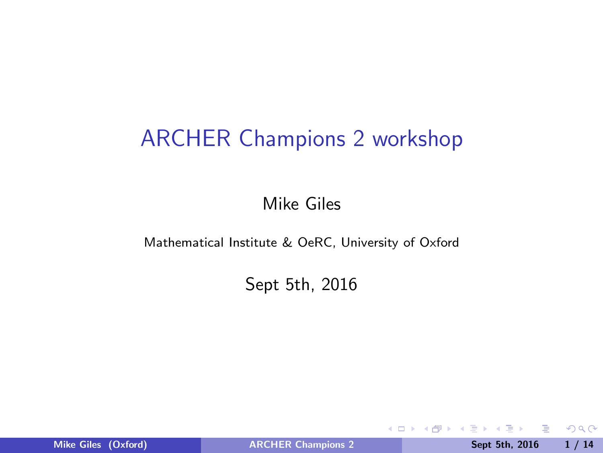### ARCHER Champions 2 workshop

Mike Giles

Mathematical Institute & OeRC, University of Oxford

Sept 5th, 2016

4 0 8

Mike Giles (Oxford) **[ARCHER Champions 2](#page-13-0)** Sept 5th, 2016 1/14

目

ヨッ  $\sim$  <span id="page-0-0"></span> $2990$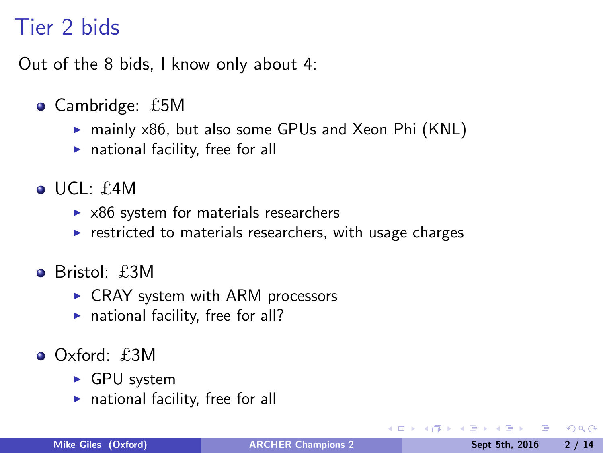### Tier 2 bids

Out of the 8 bids, I know only about 4:

- Cambridge: £5M
	- ▶ mainly x86, but also some GPUs and Xeon Phi (KNL)
	- $\triangleright$  national facility, free for all
- $\bullet$  UCL: £4M
	- $\triangleright$  x86 system for materials researchers
	- $\triangleright$  restricted to materials researchers, with usage charges
- **•** Bristol: £3M
	- $\triangleright$  CRAY system with ARM processors
	- $\blacktriangleright$  national facility, free for all?
- Oxford: £3M
	- ► GPU system
	- $\triangleright$  national facility, free for all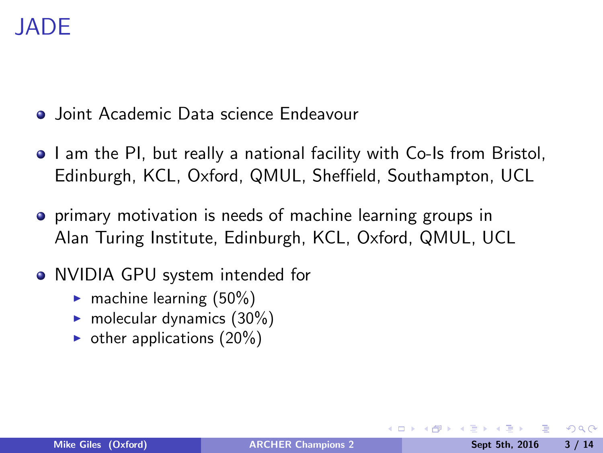- **•** Joint Academic Data science Endeavour
- I am the PI, but really a national facility with Co-Is from Bristol, Edinburgh, KCL, Oxford, QMUL, Sheffield, Southampton, UCL
- **•** primary motivation is needs of machine learning groups in Alan Turing Institute, Edinburgh, KCL, Oxford, QMUL, UCL
- NVIDIA GPU system intended for
	- $\blacktriangleright$  machine learning (50%)
	- $\blacktriangleright$  molecular dynamics (30%)
	- $\triangleright$  other applications (20%)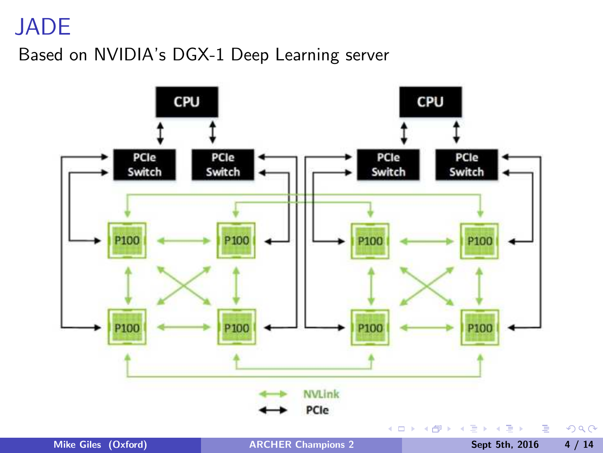#### Based on NVIDIA's DGX-1 Deep Learning server



 $299$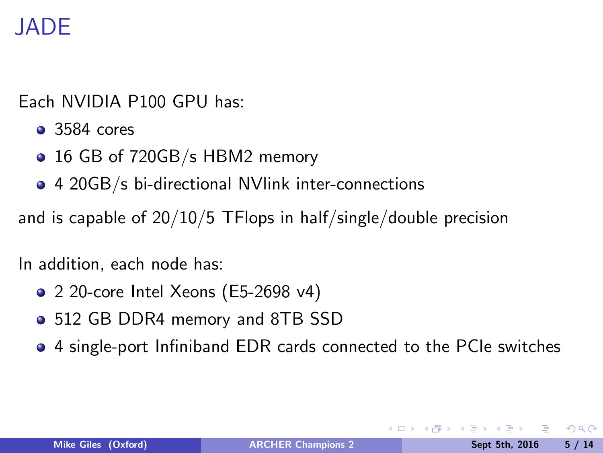Each NVIDIA P100 GPU has:

- 3584 cores
- 16 GB of 720GB/s HBM2 memory
- 4 20GB/s bi-directional NVlink inter-connections

and is capable of 20/10/5 TFlops in half/single/double precision

In addition, each node has:

- 2 20-core Intel Xeons (E5-2698 v4)
- 512 GB DDR4 memory and 8TB SSD
- 4 single-port Infiniband EDR cards connected to the PCIe switches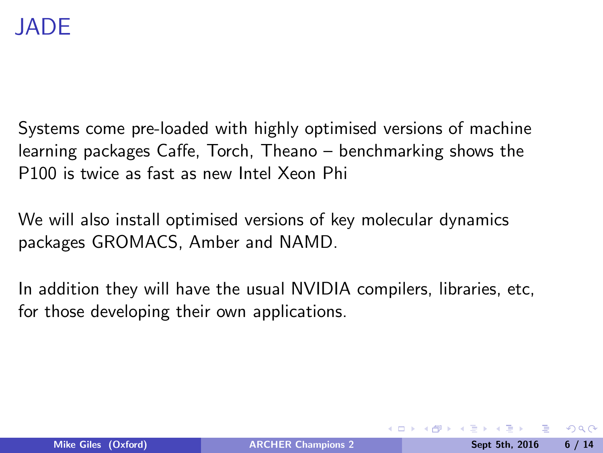Systems come pre-loaded with highly optimised versions of machine learning packages Caffe, Torch, Theano – benchmarking shows the P100 is twice as fast as new Intel Xeon Phi

We will also install optimised versions of key molecular dynamics packages GROMACS, Amber and NAMD.

In addition they will have the usual NVIDIA compilers, libraries, etc, for those developing their own applications.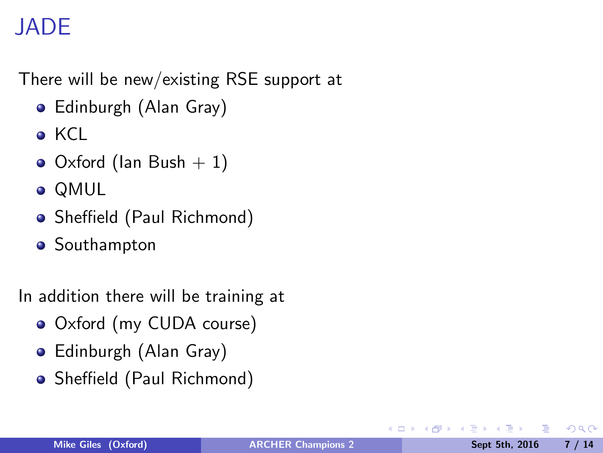There will be new/existing RSE support at

- Edinburgh (Alan Gray)
- KCL
- $\bullet$  Oxford (Ian Bush  $+1$ )
- QMUL
- Sheffield (Paul Richmond)
- **•** Southampton

In addition there will be training at

- Oxford (my CUDA course)
- Edinburgh (Alan Gray)
- Sheffield (Paul Richmond)

 $\leftarrow$ 

目

 $QQQ$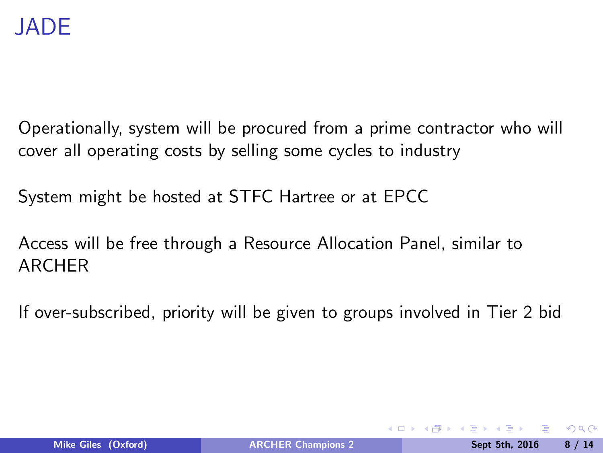Operationally, system will be procured from a prime contractor who will cover all operating costs by selling some cycles to industry

System might be hosted at STFC Hartree or at EPCC

Access will be free through a Resource Allocation Panel, similar to ARCHER

If over-subscribed, priority will be given to groups involved in Tier 2 bid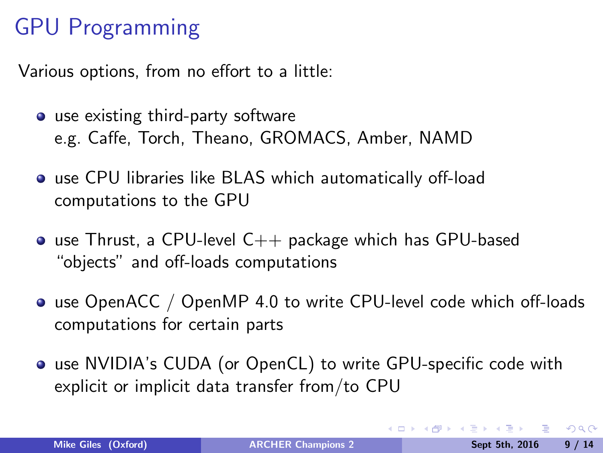# GPU Programming

Various options, from no effort to a little:

- use existing third-party software e.g. Caffe, Torch, Theano, GROMACS, Amber, NAMD
- use CPU libraries like BLAS which automatically off-load computations to the GPU
- $\bullet$  use Thrust, a CPU-level C $++$  package which has GPU-based "objects" and off-loads computations
- use OpenACC / OpenMP 4.0 to write CPU-level code which off-loads computations for certain parts
- use NVIDIA's CUDA (or OpenCL) to write GPU-specific code with explicit or implicit data transfer from/to CPU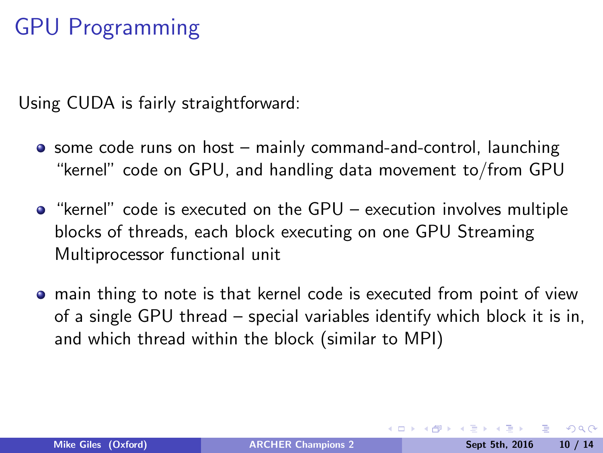# GPU Programming

Using CUDA is fairly straightforward:

- some code runs on host mainly command-and-control, launching "kernel" code on GPU, and handling data movement to/from GPU
- "kernel" code is executed on the GPU execution involves multiple blocks of threads, each block executing on one GPU Streaming Multiprocessor functional unit
- main thing to note is that kernel code is executed from point of view of a single GPU thread – special variables identify which block it is in, and which thread within the block (similar to MPI)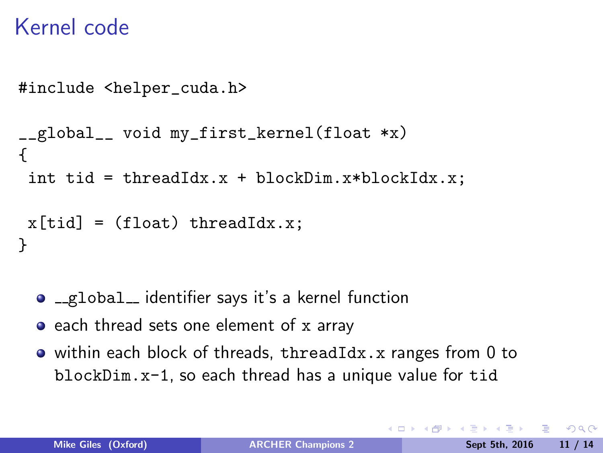#### Kernel code

```
#include <helper_cuda.h>
__global__ void my_first_kernel(float *x)
{
 int tid = threadIdx.x + blockDim.x*blockIdx.x;
x[tid] = (float) threadIdx.x;
}
```
- global identifier says it's a kernel function
- each thread sets one element of x array
- within each block of threads, threadIdx.x ranges from 0 to blockDim.x-1, so each thread has a unique value for tid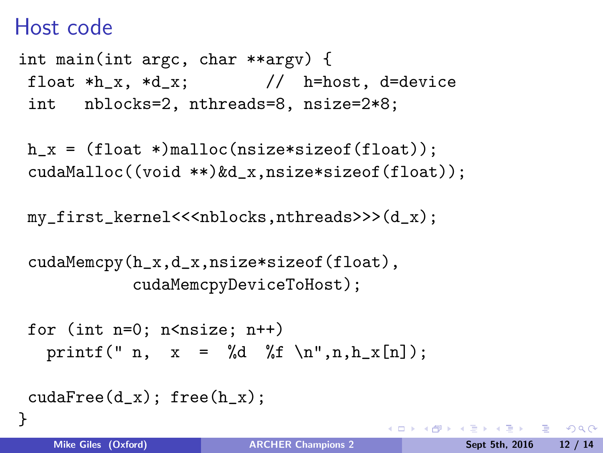#### Host code

int main(int argc, char \*\*argv) { float  $*h_x$ ,  $*d_x$ ; // h=host, d=device int nblocks=2, nthreads=8, nsize=2\*8;

h  $x = (float *)$ malloc(nsize\*sizeof(float)); cudaMalloc((void \*\*)&d\_x,nsize\*sizeof(float));

my\_first\_kernel<<<nblocks,nthreads>>>(d\_x);

```
cudaMemcpy(h_x,d_x,nsize*sizeof(float),
           cudaMemcpyDeviceToHost);
```

```
for (int n=0; n \leq n \leq i \leq n++)
  printf(" n, x = \frac{1}{\pi} \pi, h_x[n];
```

```
cudaFree(d_x); free(h_x);
```
}

KID KAP KE KE KE MAG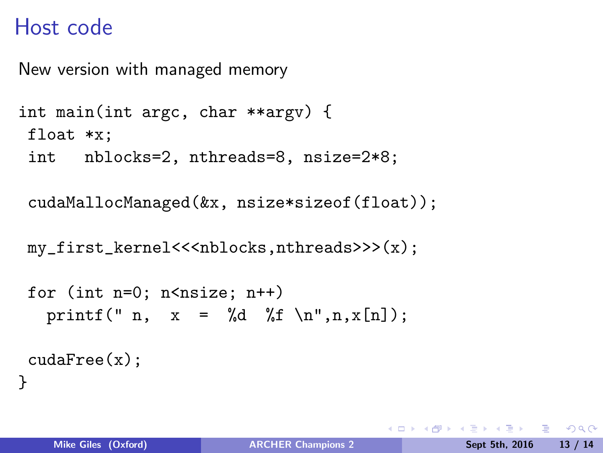#### Host code

New version with managed memory

```
int main(int argc, char **argv) {
float *x;
 int nblocks=2, nthreads=8, nsize=2*8;
```
cudaMallocManaged(&x, nsize\*sizeof(float));

my\_first\_kernel<<<nblocks,nthreads>>>(x);

```
for (int n=0; n \leq n \leq i \leq n++)
   printf(" n, x = \sqrt{d} \int f \ln^m, n, x[n]);
 cudaFree(x);
}
```
 $A \equiv A$   $\equiv$   $A \cup A$